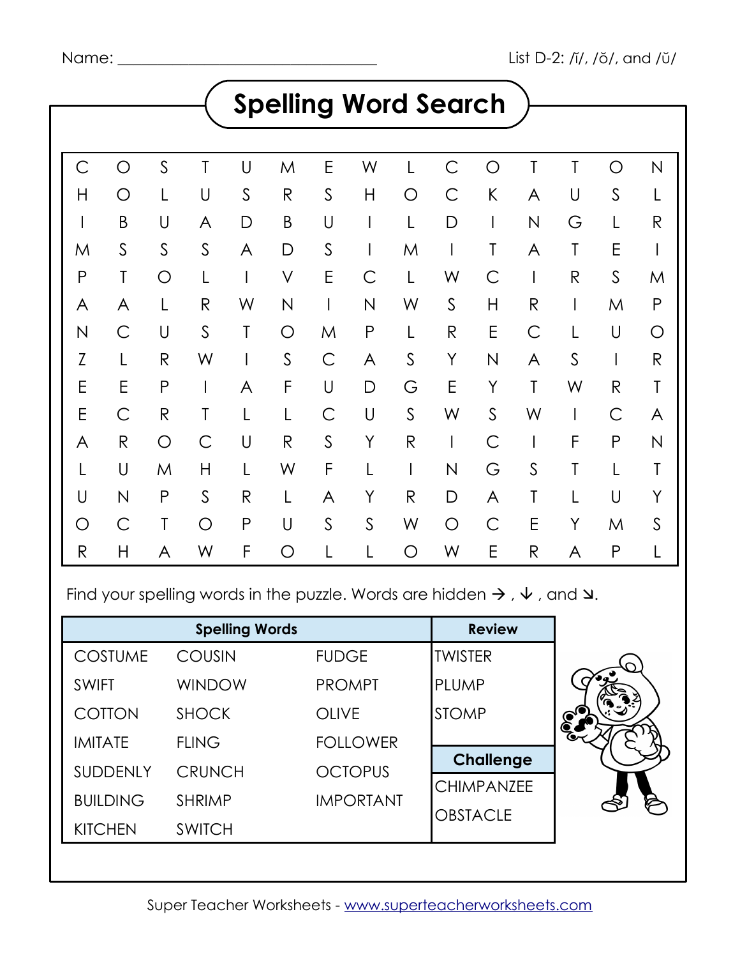|              |                         |              |              |                          |                         |                          |                         |                    | <b>Spelling Word Search</b> |                         |                          |              |              |                    |  |
|--------------|-------------------------|--------------|--------------|--------------------------|-------------------------|--------------------------|-------------------------|--------------------|-----------------------------|-------------------------|--------------------------|--------------|--------------|--------------------|--|
|              |                         |              |              |                          |                         |                          |                         |                    |                             |                         |                          |              |              |                    |  |
| Ć            | O                       | $\mathsf S$  | T            | U                        | M                       | E                        | W                       |                    | С                           | O                       | T                        | T            | $\bigcirc$   | N                  |  |
| Η            | O                       | L            | U            | $\mathsf S$              | $\mathsf{R}% _{T}$      | $\mathsf{S}$             | $\mathsf{H}$            | $\bigcirc$         | $\overline{C}$              | K                       | A                        | $\cup$       | $\mathsf S$  | L                  |  |
|              | B                       | U            | A            | D                        | $\sf B$                 | U                        |                         |                    | D                           | L                       | N                        | G            | L            | $\mathsf{R}$       |  |
| M            | $\mathsf S$             | $\mathsf S$  | $\mathsf S$  | A                        | D                       | $\mathsf{S}$             | I                       | M                  |                             | T                       | A                        | T            | E            |                    |  |
| $\mathsf{P}$ | T                       | $\bigcirc$   | L            | $\overline{\phantom{a}}$ | $\vee$                  | E                        | Ć                       | L                  | W                           | $\mathsf{C}$            | $\overline{\phantom{a}}$ | $\mathsf{R}$ | $\mathsf S$  | M                  |  |
| A            | A                       | L            | $\mathsf{R}$ | W                        | $\overline{\mathsf{N}}$ | $\overline{\phantom{a}}$ | $\overline{\mathsf{N}}$ | W                  | $\mathsf{S}$                | H                       | $\mathsf{R}$             |              | M            | $\mathsf{P}$       |  |
| N            | $\mathsf{C}$            | $\cup$       | $\mathsf S$  | T                        | O                       | M                        | P                       | L                  | $\mathsf{R}$                | E                       | С                        |              | U            | O                  |  |
| Z            | L                       | $\mathsf{R}$ | W            |                          | $\mathsf S$             | $\mathsf C$              | A                       | $\mathsf S$        | Y                           | $\overline{\mathsf{N}}$ | A                        | $\mathsf S$  | $\mathsf{l}$ | $\mathsf{R}% _{T}$ |  |
| E            | E                       | P            |              | A                        | F                       | $\bigcup$                | D                       | G                  | E                           | Y                       | T                        | W            | $\mathsf{R}$ | T                  |  |
| E            | С                       | $\mathsf{R}$ | T            | L                        | L                       | $\overline{C}$           | U                       | $\mathsf S$        | W                           | $\mathsf S$             | W                        |              | С            | A                  |  |
| A            | ${\sf R}$               | O            | $\mathsf C$  | $\cup$                   | $\mathsf{R}$            | $\mathsf{S}$             | Y                       | ${\sf R}$          |                             | $\mathsf C$             | I                        | F            | $\mathsf P$  | $\mathsf{N}$       |  |
|              | U                       | M            | Н            | L                        | W                       | F                        |                         | I                  | N                           | G                       | $\mathsf{S}$             | T            | L            | T                  |  |
| U            | $\overline{\mathsf{N}}$ | P            | $\mathsf{S}$ | $\mathsf{R}% _{T}$       | L                       | A                        | Υ                       | $\mathsf{R}% _{T}$ | D                           | A                       | T                        | L            | $\cup$       | Y                  |  |
| O            | $\overline{C}$          | Τ            | O            | ${\sf P}$                | U                       | $\mathsf{S}$             | $\mathsf S$             | W                  | $\bigcirc$                  | $\mathsf{C}$            | E                        | Y            | M            | $\mathsf S$        |  |
| $\mathsf{R}$ | Η                       | A            | W            | F                        | O                       |                          |                         | $\bigcirc$         | W                           | E                       | $\mathsf{R}$             | A            | $\mathsf{P}$ | L                  |  |

Find your spelling words in the puzzle. Words are hidden  $\rightarrow$  ,  $\vee$  , and  $\vee$ .

|                 | <b>Spelling Words</b> |                  | <b>Review</b>     |
|-----------------|-----------------------|------------------|-------------------|
| <b>COSTUME</b>  | <b>COUSIN</b>         | <b>FUDGE</b>     | <b>TWISTER</b>    |
| <b>SWIFT</b>    | <b>WINDOW</b>         | <b>PROMPT</b>    | PLUMP             |
| COTTON          | <b>SHOCK</b>          | <b>OLIVE</b>     | <b>STOMP</b>      |
| <b>IMITATE</b>  | <b>FLING</b>          | <b>FOLLOWER</b>  |                   |
| <b>SUDDENLY</b> | <b>CRUNCH</b>         | <b>OCTOPUS</b>   | <b>Challenge</b>  |
| <b>BUILDING</b> | <b>SHRIMP</b>         | <b>IMPORTANT</b> | <b>CHIMPANZEE</b> |
| <b>KITCHEN</b>  | <b>SWITCH</b>         |                  | <b>OBSTACLE</b>   |